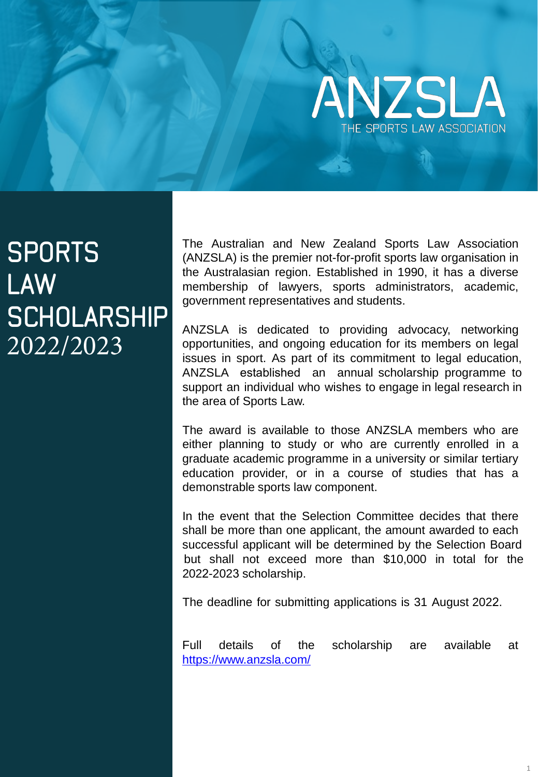

# **SPORTS LAW SCHOLARSHIP** 2022/2023

The Australian and New Zealand Sports Law Association (ANZSLA) is the premier not-for-profit sports law organisation in the Australasian region. Established in 1990, it has a diverse membership of lawyers, sports administrators, academic, government representatives and students.

ANZSLA is dedicated to providing advocacy, networking opportunities, and ongoing education for its members on legal issues in sport. As part of its commitment to legal education, ANZSLA established an annual scholarship programme to support an individual who wishes to engage in legal research in the area of Sports Law.

The award is available to those ANZSLA members who are either planning to study or who are currently enrolled in a graduate academic programme in a university or similar tertiary education provider, or in a course of studies that has a demonstrable sports law component.

In the event that the Selection Committee decides that there shall be more than one applicant, the amount awarded to each successful applicant will be determined by the Selection Board but shall not exceed more than \$10,000 in total for the 2022-2023 scholarship.

The deadline for submitting applications is 31 August 2022.

Full details of the scholarship are available at https://www.anzsla.com/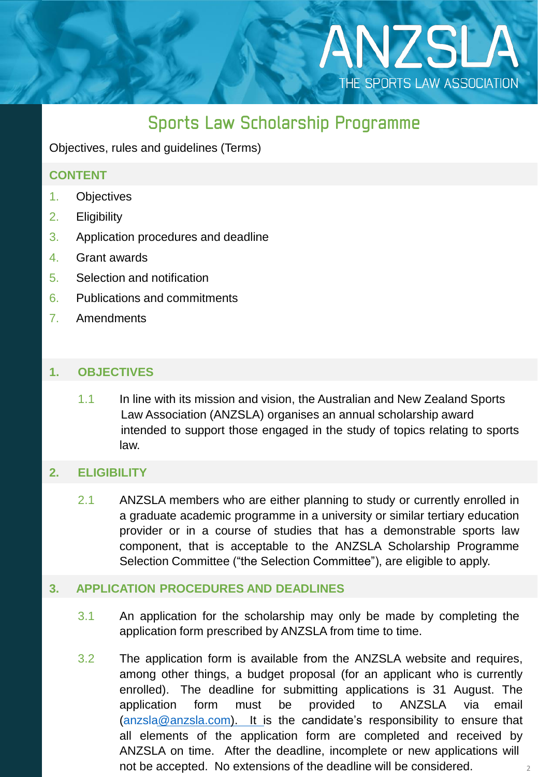# **Sports Law Scholarship Programme**

ANZSLA

THE SPORTS LAW ASSOCIATION

Objectives, rules and guidelines (Terms)

#### **CONTENT**

- 1. Objectives
- 2. Eligibility
- 3. Application procedures and deadline
- 4. Grant awards
- 5. Selection and notification
- 6. Publications and commitments
- 7. Amendments

## **1. OBJECTIVES**

1.1 In line with its mission and vision, the Australian and New Zealand Sports Law Association (ANZSLA) organises an annual scholarship award intended to support those engaged in the study of topics relating to sports law.

#### **2. ELIGIBILITY**

2.1 ANZSLA members who are either planning to study or currently enrolled in a graduate academic programme in a university or similar tertiary education provider or in a course of studies that has a demonstrable sports law component, that is acceptable to the ANZSLA Scholarship Programme Selection Committee ("the Selection Committee"), are eligible to apply.

#### **3. APPLICATION PROCEDURES AND DEADLINES**

- 3.1 An application for the scholarship may only be made by completing the application form prescribed by ANZSLA from time to time.
- 3.2 The application form is available from the ANZSLA website and requires, among other things, a budget proposal (for an applicant who is currently enrolled). The deadline for submitting applications is 31 August. The application form must be provided to ANZSLA via email [\(anzsla@anzsla.com\)](mailto:anzsla@anzsla.com). It is the candidate's responsibility to ensure that all elements of the application form are completed and received by ANZSLA on time. After the deadline, incomplete or new applications will not be accepted. No extensions of the deadline will be considered.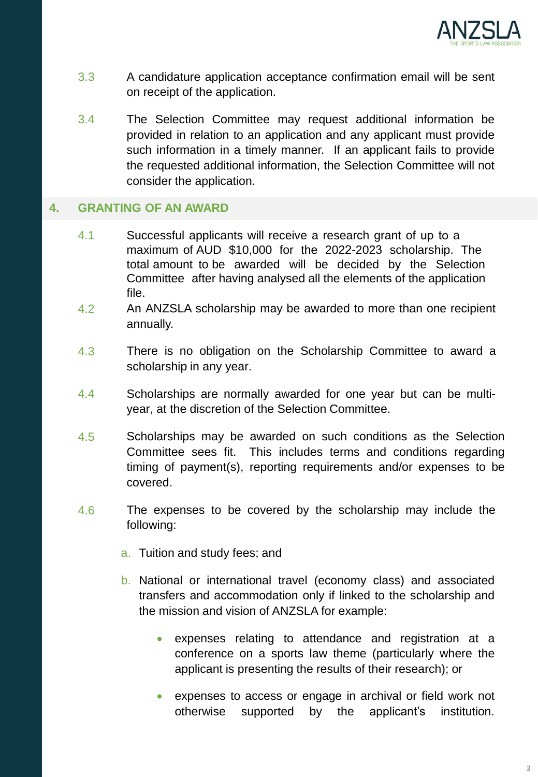

- 3.3 A candidature application acceptance confirmation email will be sent on receipt of the application.
- 3.4 The Selection Committee may request additional information be provided in relation to an application and any applicant must provide such information in a timely manner. If an applicant fails to provide the requested additional information, the Selection Committee will not consider the application.

#### **4. GRANTING OF AN AWARD**

- 4.1 Successful applicants will receive a research grant of up to a maximum of AUD \$10,000 for the 2022-2023 scholarship. The total amount to be awarded will be decided by the Selection Committee after having analysed all the elements of the application file.
- 4.2 An ANZSLA scholarship may be awarded to more than one recipient annually.
- 4.3 There is no obligation on the Scholarship Committee to award a scholarship in any year.
- 4.4 Scholarships are normally awarded for one year but can be multiyear, at the discretion of the Selection Committee.
- 4.5 Scholarships may be awarded on such conditions as the Selection Committee sees fit. This includes terms and conditions regarding timing of payment(s), reporting requirements and/or expenses to be covered.
- 4.6 The expenses to be covered by the scholarship may include the following:
	- a. Tuition and study fees; and
	- b. National or international travel (economy class) and associated transfers and accommodation only if linked to the scholarship and the mission and vision of ANZSLA for example:
		- expenses relating to attendance and registration at a conference on a sports law theme (particularly where the applicant is presenting the results of their research); or
		- expenses to access or engage in archival or field work not otherwise supported by the applicant's institution.

3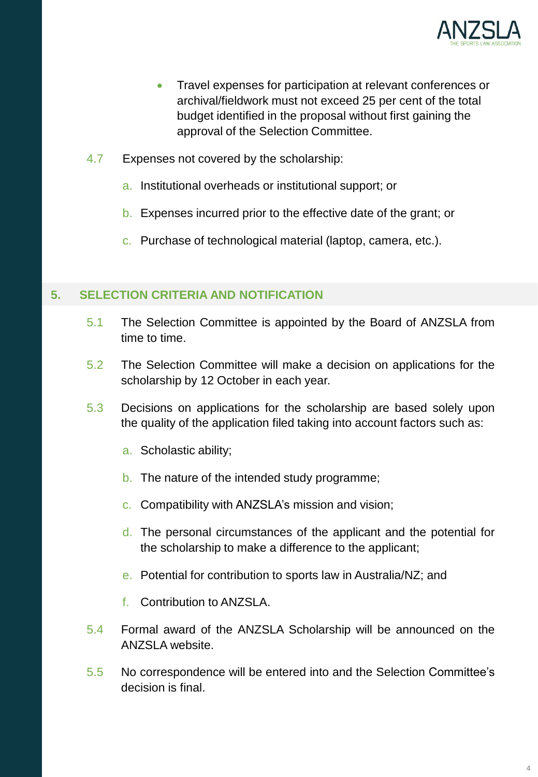

- Travel expenses for participation at relevant conferences or archival/fieldwork must not exceed 25 per cent of the total budget identified in the proposal without first gaining the approval of the Selection Committee.
- 4.7 Expenses not covered by the scholarship:
	- a. Institutional overheads or institutional support; or
	- b. Expenses incurred prior to the effective date of the grant; or
	- c. Purchase of technological material (laptop, camera, etc.).

## **5. SELECTION CRITERIA AND NOTIFICATION**

- 5.1 The Selection Committee is appointed by the Board of ANZSLA from time to time.
- 5.2 The Selection Committee will make a decision on applications for the scholarship by 12 October in each year.
- 5.3 Decisions on applications for the scholarship are based solely upon the quality of the application filed taking into account factors such as:
	- a. Scholastic ability;
	- b. The nature of the intended study programme;
	- c. Compatibility with ANZSLA's mission and vision;
	- d. The personal circumstances of the applicant and the potential for the scholarship to make a difference to the applicant;
	- e. Potential for contribution to sports law in Australia/NZ; and
	- f. Contribution to ANZSLA.
- 5.4 Formal award of the ANZSLA Scholarship will be announced on the ANZSLA website.
- 5.5 No correspondence will be entered into and the Selection Committee's decision is final.